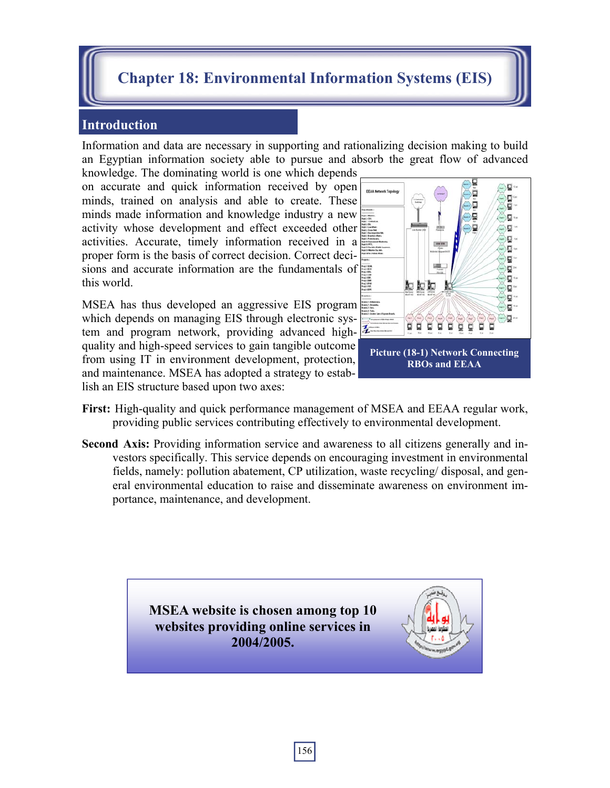# **Chapter 18: Environmental Information Systems (EIS)**

#### **Introduction**

Information and data are necessary in supporting and rationalizing decision making to build an Egyptian information society able to pursue and absorb the great flow of advanced

knowledge. The dominating world is one which depends on accurate and quick information received by open minds, trained on analysis and able to create. These minds made information and knowledge industry a new activity whose development and effect exceeded other activities. Accurate, timely information received in a proper form is the basis of correct decision. Correct decisions and accurate information are the fundamentals of this world.

MSEA has thus developed an aggressive EIS program which depends on managing EIS through electronic system and program network, providing advanced highquality and high-speed services to gain tangible outcome from using IT in environment development, protection, and maintenance. MSEA has adopted a strategy to establish an EIS structure based upon two axes:



- **First:** High-quality and quick performance management of MSEA and EEAA regular work, providing public services contributing effectively to environmental development.
- **Second Axis:** Providing information service and awareness to all citizens generally and investors specifically. This service depends on encouraging investment in environmental fields, namely: pollution abatement, CP utilization, waste recycling/ disposal, and general environmental education to raise and disseminate awareness on environment importance, maintenance, and development.

**MSEA website is chosen among top 10 websites providing online services in 2004/2005.**

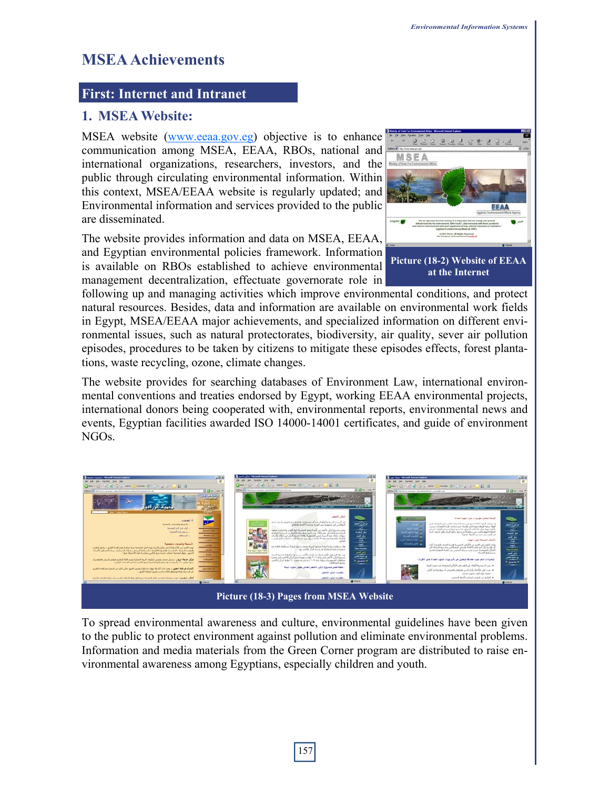# **MSEA Achievements**

### **First: Internet and Intranet**

### **1. MSEA Website:**

MSEA website (www.eeaa.gov.eg) objective is to enhance communication among MSEA, EEAA, RBOs, national and international organizations, researchers, investors, and the public through circulating environmental information. Within this context, MSEA/EEAA website is regularly updated; and Environmental information and services provided to the public are disseminated.

The website provides information and data on MSEA, EEAA, and Egyptian environmental policies framework. Information is available on RBOs established to achieve environmental management decentralization, effectuate governorate role in



following up and managing activities which improve environmental conditions, and protect natural resources. Besides, data and information are available on environmental work fields in Egypt, MSEA/EEAA major achievements, and specialized information on different environmental issues, such as natural protectorates, biodiversity, air quality, sever air pollution episodes, procedures to be taken by citizens to mitigate these episodes effects, forest plantations, waste recycling, ozone, climate changes.

The website provides for searching databases of Environment Law, international environmental conventions and treaties endorsed by Egypt, working EEAA environmental projects, international donors being cooperated with, environmental reports, environmental news and events, Egyptian facilities awarded ISO 14000-14001 certificates, and guide of environment NGOs.



To spread environmental awareness and culture, environmental guidelines have been given to the public to protect environment against pollution and eliminate environmental problems. Information and media materials from the Green Corner program are distributed to raise environmental awareness among Egyptians, especially children and youth.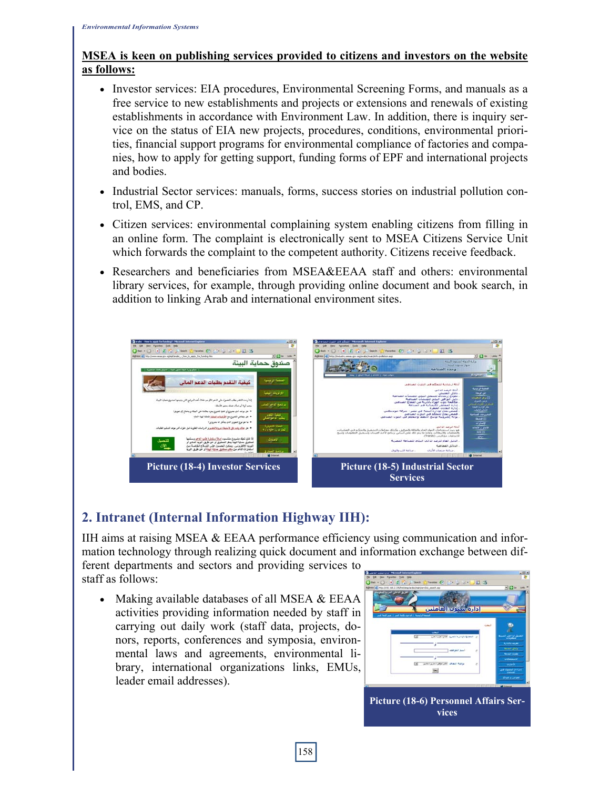#### **MSEA is keen on publishing services provided to citizens and investors on the website as follows:**

- Investor services: EIA procedures, Environmental Screening Forms, and manuals as a free service to new establishments and projects or extensions and renewals of existing establishments in accordance with Environment Law. In addition, there is inquiry service on the status of EIA new projects, procedures, conditions, environmental priorities, financial support programs for environmental compliance of factories and companies, how to apply for getting support, funding forms of EPF and international projects and bodies.
- Industrial Sector services: manuals, forms, success stories on industrial pollution control, EMS, and CP.
- Citizen services: environmental complaining system enabling citizens from filling in an online form. The complaint is electronically sent to MSEA Citizens Service Unit which forwards the complaint to the competent authority. Citizens receive feedback.
- Researchers and beneficiaries from MSEA&EEAA staff and others: environmental library services, for example, through providing online document and book search, in addition to linking Arab and international environment sites.



# **2. Intranet (Internal Information Highway IIH):**

IIH aims at raising MSEA & EEAA performance efficiency using communication and information technology through realizing quick document and information exchange between dif-

ferent departments and sectors and providing services to staff as follows:

• Making available databases of all MSEA & EEAA activities providing information needed by staff in carrying out daily work (staff data, projects, donors, reports, conferences and symposia, environmental laws and agreements, environmental library, international organizations links, EMUs, leader email addresses).

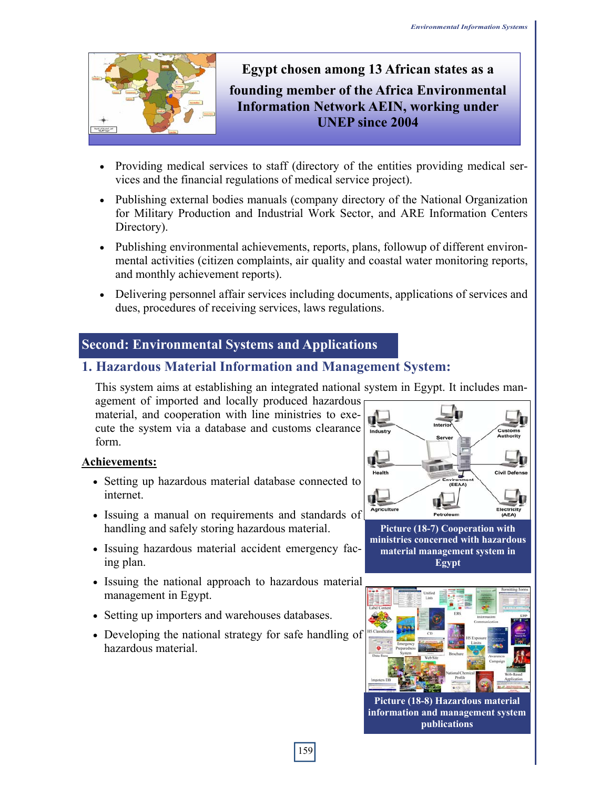

# **Egypt chosen among 13 African states as a founding member of the Africa Environmental Information Network AEIN, working under UNEP since 2004**

- Providing medical services to staff (directory of the entities providing medical services and the financial regulations of medical service project).
- Publishing external bodies manuals (company directory of the National Organization for Military Production and Industrial Work Sector, and ARE Information Centers Directory).
- Publishing environmental achievements, reports, plans, followup of different environmental activities (citizen complaints, air quality and coastal water monitoring reports, and monthly achievement reports).
- Delivering personnel affair services including documents, applications of services and dues, procedures of receiving services, laws regulations.

# **Second: Environmental Systems and Applications**

# **1. Hazardous Material Information and Management System:**

This system aims at establishing an integrated national system in Egypt. It includes man-

agement of imported and locally produced hazardous material, and cooperation with line ministries to execute the system via a database and customs clearance form.

#### **Achievements:**

- Setting up hazardous material database connected to internet.
- Issuing a manual on requirements and standards of handling and safely storing hazardous material.
- Issuing hazardous material accident emergency facing plan.
- Issuing the national approach to hazardous material management in Egypt.
- Setting up importers and warehouses databases.
- Developing the national strategy for safe handling of hazardous material.



**Picture (18-7) Cooperation with ministries concerned with hazardous material management system in Egypt**



**Picture (18-8) Hazardous material information and management system publications**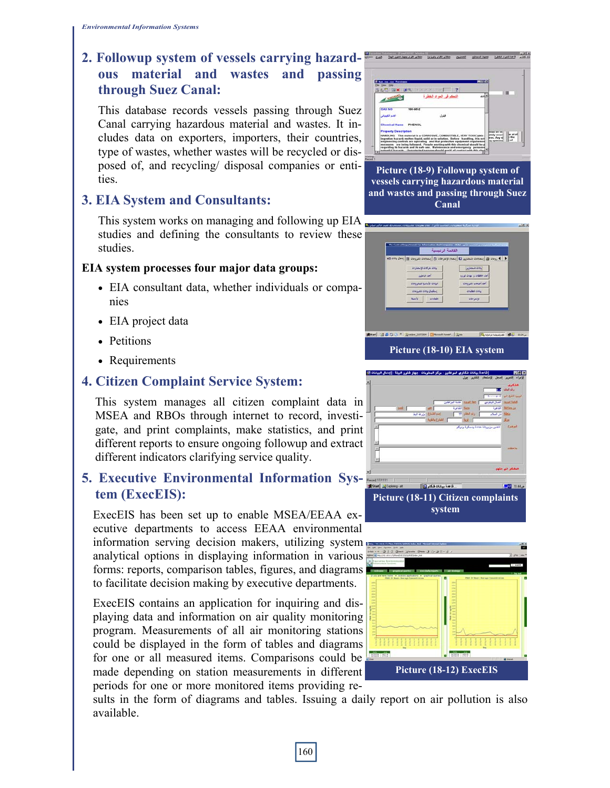# **2. Followup system of vessels carrying hazardous material and wastes and passing through Suez Canal:**

This database records vessels passing through Suez Canal carrying hazardous material and wastes. It includes data on exporters, importers, their countries, type of wastes, whether wastes will be recycled or disposed of, and recycling/ disposal companies or entities.

### **3. EIA System and Consultants:**

This system works on managing and following up EIA studies and defining the consultants to review these studies.

#### **EIA system processes four major data groups:**

- EIA consultant data, whether individuals or companies
- EIA project data
- Petitions
- Requirements

# **4. Citizen Complaint Service System:**

This system manages all citizen complaint data in MSEA and RBOs through internet to record, investigate, and print complaints, make statistics, and print different reports to ensure ongoing followup and extract different indicators clarifying service quality.

### **5. Executive Environmental Information System (ExecEIS):**

ExecEIS has been set up to enable MSEA/EEAA executive departments to access EEAA environmental information serving decision makers, utilizing system

analytical options in displaying information in various forms: reports, comparison tables, figures, and diagrams to facilitate decision making by executive departments.

ExecEIS contains an application for inquiring and displaying data and information on air quality monitoring program. Measurements of all air monitoring stations could be displayed in the form of tables and diagrams for one or all measured items. Comparisons could be made depending on station measurements in different periods for one or more monitored items providing re-

sults in the form of diagrams and tables. Issuing a daily report on air pollution is also available.

| <b>NEC</b><br>If has my car Flexioner                                                                                                                                                                                                      |                                                              |  |
|--------------------------------------------------------------------------------------------------------------------------------------------------------------------------------------------------------------------------------------------|--------------------------------------------------------------|--|
| The View Hotel<br><b>ALC NX</b>                                                                                                                                                                                                            |                                                              |  |
| فأعدد<br>لتعقم قى ثعواد شقطرة                                                                                                                                                                                                              |                                                              |  |
|                                                                                                                                                                                                                                            |                                                              |  |
| <b>CAS NO</b><br>108.46.2                                                                                                                                                                                                                  |                                                              |  |
| فشول<br>اللبد الكمياني                                                                                                                                                                                                                     |                                                              |  |
| <b>Chemical Name</b><br>PHENOL                                                                                                                                                                                                             |                                                              |  |
| <b>Property Description</b>                                                                                                                                                                                                                | <b>President limit limit</b>                                 |  |
| HANDLING This material is a CORROSIVE, COMBUSTIBLE, VERY TOXIC takin<br>ingestion hazardi melten liquid, solid or in solution. Before handling, it is ext.<br>angineering controls are operating and that protective equipment requirement | latelly ewact<br><b>Brant, Arry of</b><br><b>Sa systems!</b> |  |

**Picture (18-9) Followup system of vessels carrying hazardous material and wastes and passing through Suez Canal** 

|                           | $\mathbf{e}^{\mathbf{e}}_1 \circ \mathbf{e}^{\mathbf{e}}_2 \circ \mathbf{e}^{\mathbf{e}}_3 = \mathbf{e}^{\mathbf{e}}_1 \circ \mathbf{e}^{\mathbf{e}}_2 \circ \mathbf{e}^{\mathbf{e}}_3 \circ \mathbf{e}^{\mathbf{e}}_4 \circ \mathbf{e}^{\mathbf{e}}_5 \circ \mathbf{e}^{\mathbf{e}}_4 \circ \mathbf{e}^{\mathbf{e}}_4 \circ \mathbf{e}^{\mathbf{e}}_5 \circ \mathbf{e}^{\mathbf{e}}_4 \circ \mathbf{e}^{\mathbf{e}}_5 \circ$ |
|---------------------------|-------------------------------------------------------------------------------------------------------------------------------------------------------------------------------------------------------------------------------------------------------------------------------------------------------------------------------------------------------------------------------------------------------------------------------|
| <b>OUTRY OR A OIL</b>     | <b>SOULD ONE</b>                                                                                                                                                                                                                                                                                                                                                                                                              |
| أحاد الباطيف              | system and a collection start                                                                                                                                                                                                                                                                                                                                                                                                 |
| هيانات كالناسية للنشرونات | أحاد أحبحاب للقروفات                                                                                                                                                                                                                                                                                                                                                                                                          |
| إسكبال يادته القرودات     | <b>O'LEST ONLY</b>                                                                                                                                                                                                                                                                                                                                                                                                            |
| $du =$<br>piddle          | <b>COULT</b>                                                                                                                                                                                                                                                                                                                                                                                                                  |
|                           |                                                                                                                                                                                                                                                                                                                                                                                                                               |
|                           |                                                                                                                                                                                                                                                                                                                                                                                                                               |
|                           |                                                                                                                                                                                                                                                                                                                                                                                                                               |



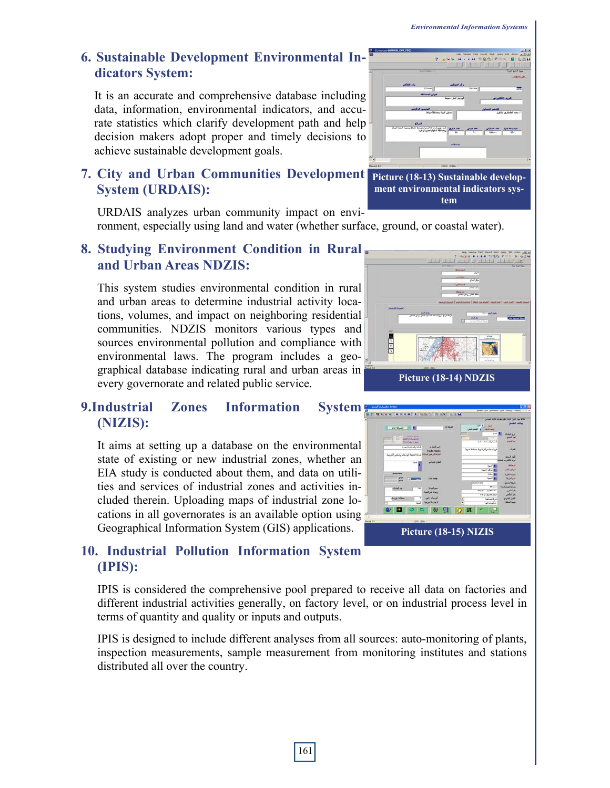## **6. Sustainable Development Environmental Indicators System:**

It is an accurate and comprehensive database including data, information, environmental indicators, and accurate statistics which clarify development path and help decision makers adopt proper and timely decisions to achieve sustainable development goals.

#### **7. City and Urban Communities Development System (URDAIS):**

URDAIS analyzes urban community impact on environment, especially using land and water (whether surface, ground, or coastal water).

#### **8. Studying Environment Condition in Rural and Urban Areas NDZIS:**

This system studies environmental condition in rural and urban areas to determine industrial activity locations, volumes, and impact on neighboring residential communities. NDZIS monitors various types and sources environmental pollution and compliance with environmental laws. The program includes a geographical database indicating rural and urban areas in every governorate and related public service.

# **9.Industrial Zones Information System (NIZIS):**

It aims at setting up a database on the environmental state of existing or new industrial zones, whether an EIA study is conducted about them, and data on utilities and services of industrial zones and activities included therein. Uploading maps of industrial zone locations in all governorates is an available option using Geographical Information System (GIS) applications.

# **10. Industrial Pollution Information System (IPIS):**

IPIS is considered the comprehensive pool prepared to receive all data on factories and different industrial activities generally, on factory level, or on industrial process level in terms of quantity and quality or inputs and outputs.

IPIS is designed to include different analyses from all sources: auto-monitoring of plants, inspection measurements, sample measurement from monitoring institutes and stations distributed all over the country.



#### **Picture (18-13) Sustainable development environmental indicators system**



**Picture (18-15) NIZIS**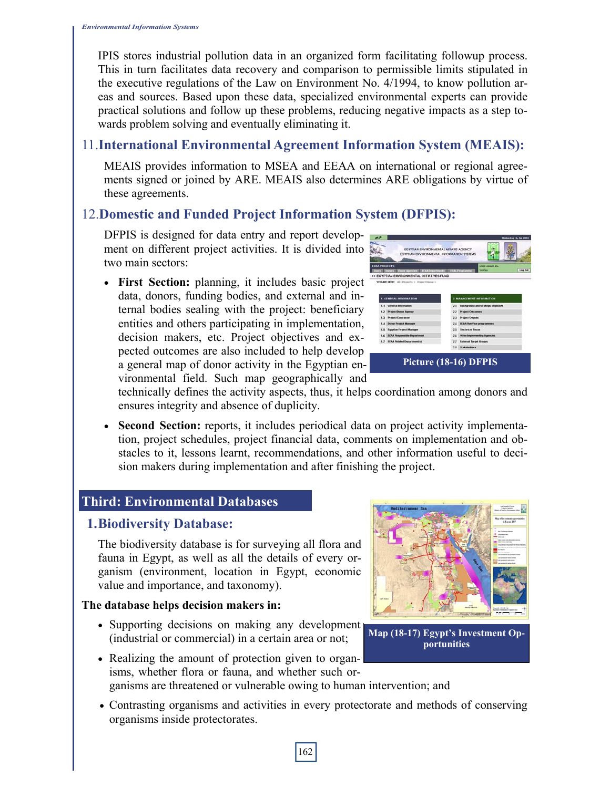IPIS stores industrial pollution data in an organized form facilitating followup process. This in turn facilitates data recovery and comparison to permissible limits stipulated in the executive regulations of the Law on Environment No. 4/1994, to know pollution areas and sources. Based upon these data, specialized environmental experts can provide practical solutions and follow up these problems, reducing negative impacts as a step towards problem solving and eventually eliminating it.

# 11.**International Environmental Agreement Information System (MEAIS):**

MEAIS provides information to MSEA and EEAA on international or regional agreements signed or joined by ARE. MEAIS also determines ARE obligations by virtue of these agreements.

# 12.**Domestic and Funded Project Information System (DFPIS):**

DFPIS is designed for data entry and report development on different project activities. It is divided into two main sectors:

• **First Section:** planning, it includes basic project data, donors, funding bodies, and external and internal bodies sealing with the project: beneficiary entities and others participating in implementation, decision makers, etc. Project objectives and expected outcomes are also included to help develop a general map of donor activity in the Egyptian environmental field. Such map geographically and

| EGYPTIAN ENVIRONMENTAL AFFAIRS AGENCY<br>EGYPTIAN ENVIRONMENTAL INFORMATION SYSTEMS<br><b><i>MARK LOCKED THE</i></b><br><b>Log Out</b><br><b>Watas</b><br>2. MANAGEMENT INFORMATION |
|-------------------------------------------------------------------------------------------------------------------------------------------------------------------------------------|
|                                                                                                                                                                                     |
|                                                                                                                                                                                     |
|                                                                                                                                                                                     |
|                                                                                                                                                                                     |
|                                                                                                                                                                                     |
|                                                                                                                                                                                     |
| <b>Background and Strategic Objective</b>                                                                                                                                           |
| <b>Project Outcomes</b>                                                                                                                                                             |
| <b>Project Outputs</b>                                                                                                                                                              |
| <b>EEAA That Year programmes</b>                                                                                                                                                    |
| <b>Sectors of Focus</b>                                                                                                                                                             |
| <b>Cities beginnersting Agencies</b>                                                                                                                                                |
| <b>External Target Groups</b>                                                                                                                                                       |
| <b>Stakeholders</b>                                                                                                                                                                 |
|                                                                                                                                                                                     |

technically defines the activity aspects, thus, it helps coordination among donors and ensures integrity and absence of duplicity.

• **Second Section:** reports, it includes periodical data on project activity implementation, project schedules, project financial data, comments on implementation and obstacles to it, lessons learnt, recommendations, and other information useful to decision makers during implementation and after finishing the project.

### **Third: Environmental Databases**

### **1. Biodiversity Database:**

The biodiversity database is for surveying all flora and fauna in Egypt, as well as all the details of every organism (environment, location in Egypt, economic value and importance, and taxonomy).

#### **The database helps decision makers in:**

- Supporting decisions on making any development (industrial or commercial) in a certain area or not;
- Realizing the amount of protection given to organisms, whether flora or fauna, and whether such organisms are threatened or vulnerable owing to human intervention; and
- Contrasting organisms and activities in every protectorate and methods of conserving organisms inside protectorates.



**Map (18-17) Egypt's Investment Opportunities**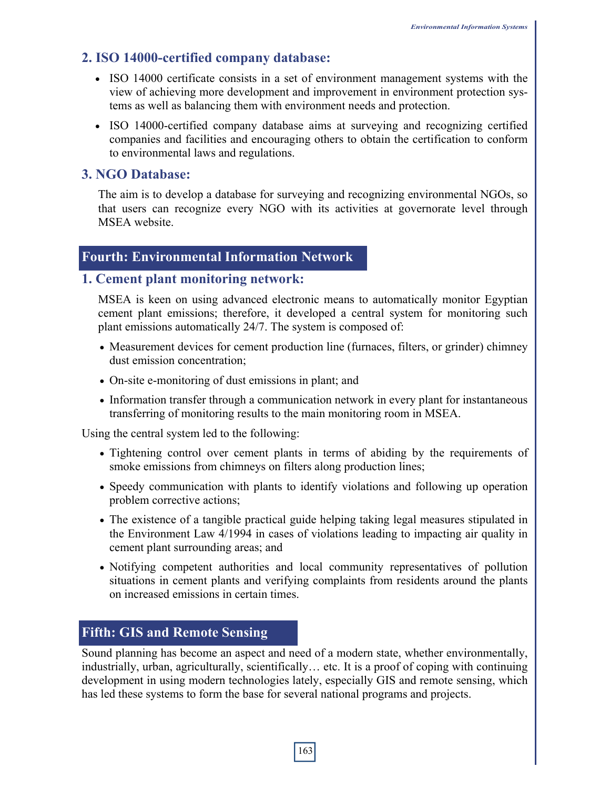# **2. ISO 14000-certified company database:**

- ISO 14000 certificate consists in a set of environment management systems with the view of achieving more development and improvement in environment protection systems as well as balancing them with environment needs and protection.
- ISO 14000-certified company database aims at surveying and recognizing certified companies and facilities and encouraging others to obtain the certification to conform to environmental laws and regulations.

#### **3. NGO Database:**

The aim is to develop a database for surveying and recognizing environmental NGOs, so that users can recognize every NGO with its activities at governorate level through MSEA website.

### **Fourth: Environmental Information Network**

#### **1. Cement plant monitoring network:**

MSEA is keen on using advanced electronic means to automatically monitor Egyptian cement plant emissions; therefore, it developed a central system for monitoring such plant emissions automatically 24/7. The system is composed of:

- Measurement devices for cement production line (furnaces, filters, or grinder) chimney dust emission concentration;
- On-site e-monitoring of dust emissions in plant; and
- Information transfer through a communication network in every plant for instantaneous transferring of monitoring results to the main monitoring room in MSEA.

Using the central system led to the following:

- Tightening control over cement plants in terms of abiding by the requirements of smoke emissions from chimneys on filters along production lines;
- Speedy communication with plants to identify violations and following up operation problem corrective actions;
- The existence of a tangible practical guide helping taking legal measures stipulated in the Environment Law 4/1994 in cases of violations leading to impacting air quality in cement plant surrounding areas; and
- Notifying competent authorities and local community representatives of pollution situations in cement plants and verifying complaints from residents around the plants on increased emissions in certain times.

# **Fifth: GIS and Remote Sensing**

Sound planning has become an aspect and need of a modern state, whether environmentally, industrially, urban, agriculturally, scientifically… etc. It is a proof of coping with continuing development in using modern technologies lately, especially GIS and remote sensing, which has led these systems to form the base for several national programs and projects.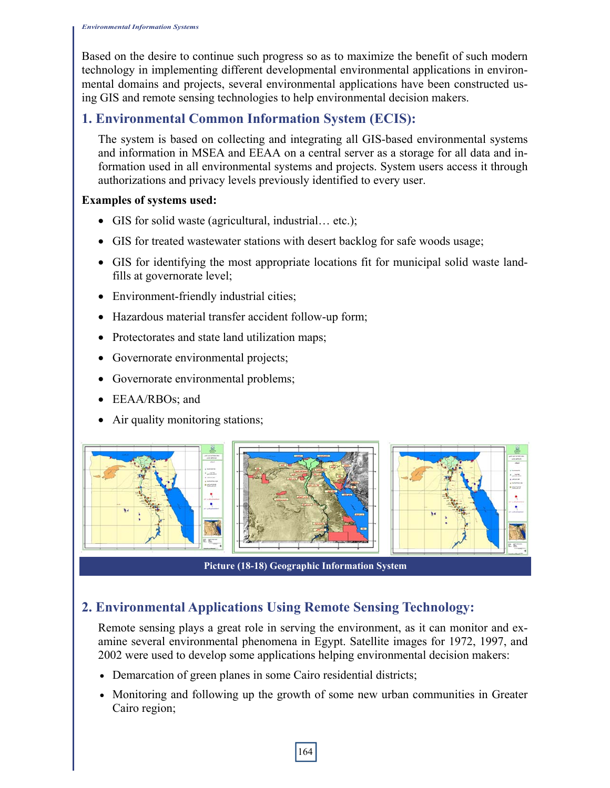Based on the desire to continue such progress so as to maximize the benefit of such modern technology in implementing different developmental environmental applications in environmental domains and projects, several environmental applications have been constructed using GIS and remote sensing technologies to help environmental decision makers.

## **1. Environmental Common Information System (ECIS):**

The system is based on collecting and integrating all GIS-based environmental systems and information in MSEA and EEAA on a central server as a storage for all data and information used in all environmental systems and projects. System users access it through authorizations and privacy levels previously identified to every user.

#### **Examples of systems used:**

- GIS for solid waste (agricultural, industrial... etc.);
- GIS for treated wastewater stations with desert backlog for safe woods usage;
- GIS for identifying the most appropriate locations fit for municipal solid waste landfills at governorate level;
- Environment-friendly industrial cities;
- Hazardous material transfer accident follow-up form;
- Protectorates and state land utilization maps;
- Governorate environmental projects;
- Governorate environmental problems;
- EEAA/RBOs; and
- Air quality monitoring stations;



**Picture (18-18) Geographic Information System** 

# **2. Environmental Applications Using Remote Sensing Technology:**

Remote sensing plays a great role in serving the environment, as it can monitor and examine several environmental phenomena in Egypt. Satellite images for 1972, 1997, and 2002 were used to develop some applications helping environmental decision makers:

- Demarcation of green planes in some Cairo residential districts;
- Monitoring and following up the growth of some new urban communities in Greater Cairo region;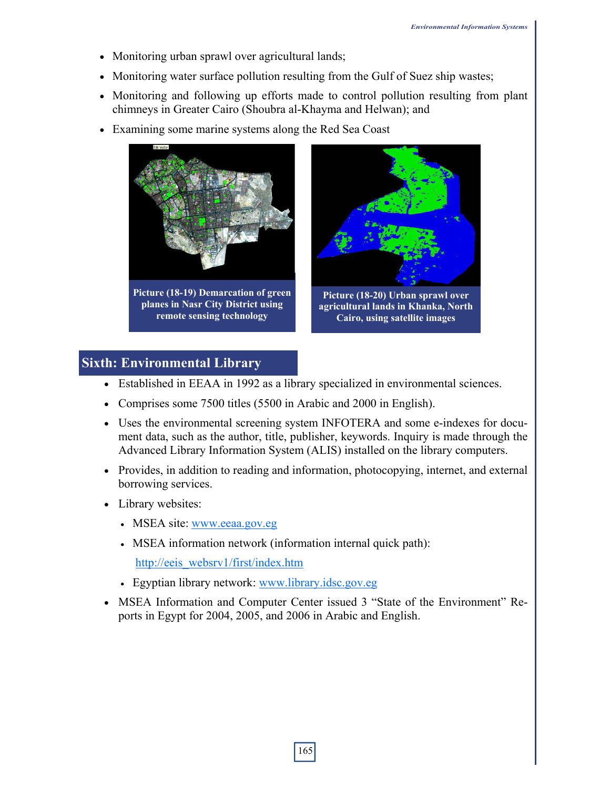- Monitoring urban sprawl over agricultural lands;
- Monitoring water surface pollution resulting from the Gulf of Suez ship wastes;
- Monitoring and following up efforts made to control pollution resulting from plant chimneys in Greater Cairo (Shoubra al-Khayma and Helwan); and
- Examining some marine systems along the Red Sea Coast





**Picture (18-20) Urban sprawl over agricultural lands in Khanka, North Cairo, using satellite images** 

### **Sixth: Environmental Library**

- Established in EEAA in 1992 as a library specialized in environmental sciences.
- Comprises some 7500 titles (5500 in Arabic and 2000 in English).
- Uses the environmental screening system INFOTERA and some e-indexes for document data, such as the author, title, publisher, keywords. Inquiry is made through the Advanced Library Information System (ALIS) installed on the library computers.
- Provides, in addition to reading and information, photocopying, internet, and external borrowing services.
- Library websites:
	- MSEA site: www.eeaa.gov.eg
	- MSEA information network (information internal quick path):

http://eeis\_websrv1/first/index.htm

- Egyptian library network: www.library.idsc.gov.eg
- MSEA Information and Computer Center issued 3 "State of the Environment" Reports in Egypt for 2004, 2005, and 2006 in Arabic and English.